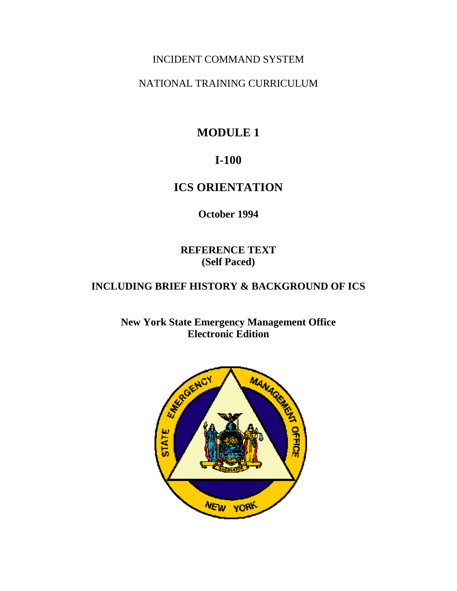## INCIDENT COMMAND SYSTEM

## NATIONAL TRAINING CURRICULUM

## **MODULE 1**

## **I-100**

## **ICS ORIENTATION**

## **October 1994**

**REFERENCE TEXT (Self Paced)** 

## **INCLUDING BRIEF HISTORY & BACKGROUND OF ICS**

**New York State Emergency Management Office Electronic Edition** 

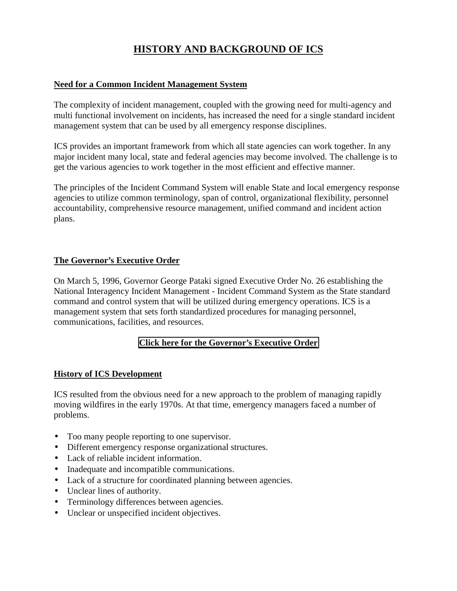## **HISTORY AND BACKGROUND OF ICS**

### **Need for a Common Incident Management System**

The complexity of incident management, coupled with the growing need for multi-agency and multi functional involvement on incidents, has increased the need for a single standard incident management system that can be used by all emergency response disciplines.

ICS provides an important framework from which all state agencies can work together. In any major incident many local, state and federal agencies may become involved. The challenge is to get the various agencies to work together in the most efficient and effective manner.

The principles of the Incident Command System will enable State and local emergency response agencies to utilize common terminology, span of control, organizational flexibility, personnel accountability, comprehensive resource management, unified command and incident action plans.

### **The Governor's Executive Order**

On March 5, 1996, Governor George Pataki signed Executive Order No. 26 establishing the National Interagency Incident Management - Incident Command System as the State standard command and control system that will be utilized during emergency operations. ICS is a management system that sets forth standardized procedures for managing personnel, communications, facilities, and resources.

### **[Click here for the Governor's Executive Order](http://www.nysemo.state.ny.us/ICS/exorder.htm)**

### **History of ICS Development**

ICS resulted from the obvious need for a new approach to the problem of managing rapidly moving wildfires in the early 1970s. At that time, emergency managers faced a number of problems.

- Too many people reporting to one supervisor.
- Different emergency response organizational structures.
- Lack of reliable incident information.
- Inadequate and incompatible communications.
- Lack of a structure for coordinated planning between agencies.
- Unclear lines of authority.
- Terminology differences between agencies.
- Unclear or unspecified incident objectives.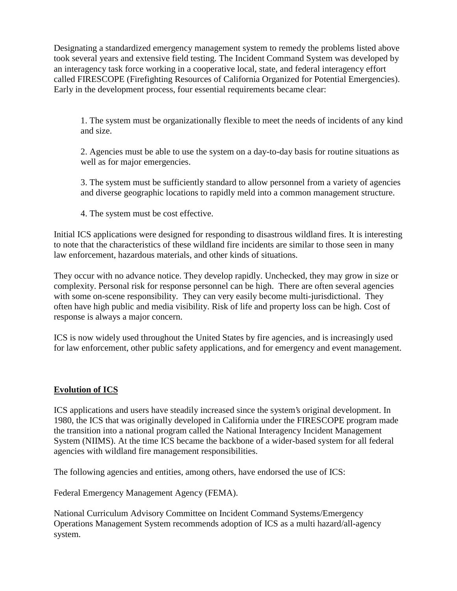Designating a standardized emergency management system to remedy the problems listed above took several years and extensive field testing. The Incident Command System was developed by an interagency task force working in a cooperative local, state, and federal interagency effort called FIRESCOPE (Firefighting Resources of California Organized for Potential Emergencies). Early in the development process, four essential requirements became clear:

1. The system must be organizationally flexible to meet the needs of incidents of any kind and size.

2. Agencies must be able to use the system on a day-to-day basis for routine situations as well as for major emergencies.

3. The system must be sufficiently standard to allow personnel from a variety of agencies and diverse geographic locations to rapidly meld into a common management structure.

4. The system must be cost effective.

Initial ICS applications were designed for responding to disastrous wildland fires. It is interesting to note that the characteristics of these wildland fire incidents are similar to those seen in many law enforcement, hazardous materials, and other kinds of situations.

They occur with no advance notice. They develop rapidly. Unchecked, they may grow in size or complexity. Personal risk for response personnel can be high. There are often several agencies with some on-scene responsibility. They can very easily become multi-jurisdictional. They often have high public and media visibility. Risk of life and property loss can be high. Cost of response is always a major concern.

ICS is now widely used throughout the United States by fire agencies, and is increasingly used for law enforcement, other public safety applications, and for emergency and event management.

### **Evolution of ICS**

ICS applications and users have steadily increased since the system's original development. In 1980, the ICS that was originally developed in California under the FIRESCOPE program made the transition into a national program called the National Interagency Incident Management System (NIIMS). At the time ICS became the backbone of a wider-based system for all federal agencies with wildland fire management responsibilities.

The following agencies and entities, among others, have endorsed the use of ICS:

Federal Emergency Management Agency (FEMA).

National Curriculum Advisory Committee on Incident Command Systems/Emergency Operations Management System recommends adoption of ICS as a multi hazard/all-agency system.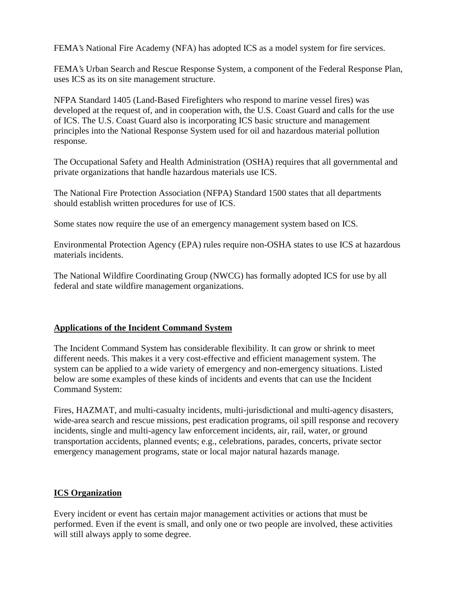FEMA's National Fire Academy (NFA) has adopted ICS as a model system for fire services.

FEMA's Urban Search and Rescue Response System, a component of the Federal Response Plan, uses ICS as its on site management structure.

NFPA Standard 1405 (Land-Based Firefighters who respond to marine vessel fires) was developed at the request of, and in cooperation with, the U.S. Coast Guard and calls for the use of ICS. The U.S. Coast Guard also is incorporating ICS basic structure and management principles into the National Response System used for oil and hazardous material pollution response.

The Occupational Safety and Health Administration (OSHA) requires that all governmental and private organizations that handle hazardous materials use ICS.

The National Fire Protection Association (NFPA) Standard 1500 states that all departments should establish written procedures for use of ICS.

Some states now require the use of an emergency management system based on ICS.

Environmental Protection Agency (EPA) rules require non-OSHA states to use ICS at hazardous materials incidents.

The National Wildfire Coordinating Group (NWCG) has formally adopted ICS for use by all federal and state wildfire management organizations.

### **Applications of the Incident Command System**

The Incident Command System has considerable flexibility. It can grow or shrink to meet different needs. This makes it a very cost-effective and efficient management system. The system can be applied to a wide variety of emergency and non-emergency situations. Listed below are some examples of these kinds of incidents and events that can use the Incident Command System:

Fires, HAZMAT, and multi-casualty incidents, multi-jurisdictional and multi-agency disasters, wide-area search and rescue missions, pest eradication programs, oil spill response and recovery incidents, single and multi-agency law enforcement incidents, air, rail, water, or ground transportation accidents, planned events; e.g., celebrations, parades, concerts, private sector emergency management programs, state or local major natural hazards manage.

### **ICS Organization**

Every incident or event has certain major management activities or actions that must be performed. Even if the event is small, and only one or two people are involved, these activities will still always apply to some degree.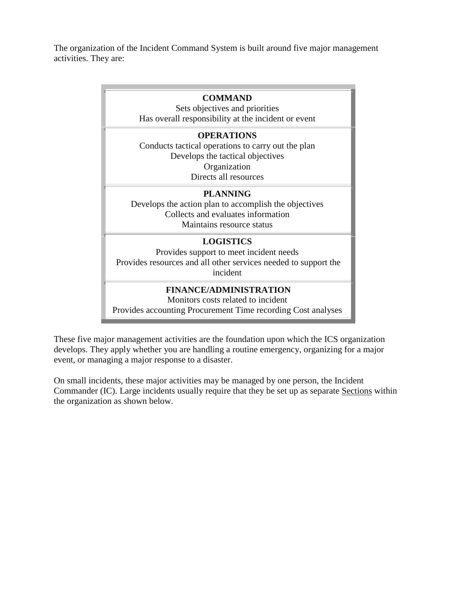The organization of the Incident Command System is built around five major management activities. They are:

| <b>COMMAND</b>                                                  |  |
|-----------------------------------------------------------------|--|
| Sets objectives and priorities                                  |  |
| Has overall responsibility at the incident or event             |  |
| <b>OPERATIONS</b>                                               |  |
| Conducts tactical operations to carry out the plan              |  |
| Develops the tactical objectives                                |  |
| Organization                                                    |  |
| Directs all resources                                           |  |
| <b>PLANNING</b>                                                 |  |
| Develops the action plan to accomplish the objectives           |  |
| Collects and evaluates information                              |  |
| Maintains resource status                                       |  |
| <b>LOGISTICS</b>                                                |  |
| Provides support to meet incident needs                         |  |
| Provides resources and all other services needed to support the |  |
| incident                                                        |  |
| <b>FINANCE/ADMINISTRATION</b>                                   |  |
| Monitors costs related to incident                              |  |
| Provides accounting Procurement Time recording Cost analyses    |  |

These five major management activities are the foundation upon which the ICS organization develops. They apply whether you are handling a routine emergency, organizing for a major event, or managing a major response to a disaster.

On small incidents, these major activities may be managed by one person, the Incident Commander (IC). Large incidents usually require that they be set up as separate Sections within the organization as shown below.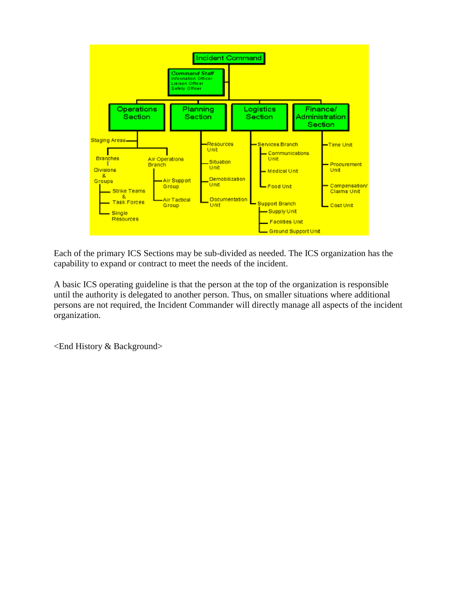

Each of the primary ICS Sections may be sub-divided as needed. The ICS organization has the capability to expand or contract to meet the needs of the incident.

A basic ICS operating guideline is that the person at the top of the organization is responsible until the authority is delegated to another person. Thus, on smaller situations where additional persons are not required, the Incident Commander will directly manage all aspects of the incident organization.

<End History & Background>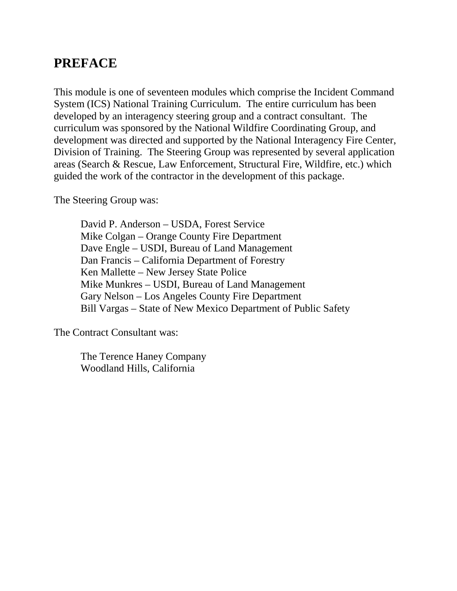# **PREFACE**

This module is one of seventeen modules which comprise the Incident Command System (ICS) National Training Curriculum. The entire curriculum has been developed by an interagency steering group and a contract consultant. The curriculum was sponsored by the National Wildfire Coordinating Group, and development was directed and supported by the National Interagency Fire Center, Division of Training. The Steering Group was represented by several application areas (Search & Rescue, Law Enforcement, Structural Fire, Wildfire, etc.) which guided the work of the contractor in the development of this package.

The Steering Group was:

 David P. Anderson – USDA, Forest Service Mike Colgan – Orange County Fire Department Dave Engle – USDI, Bureau of Land Management Dan Francis – California Department of Forestry Ken Mallette – New Jersey State Police Mike Munkres – USDI, Bureau of Land Management Gary Nelson – Los Angeles County Fire Department Bill Vargas – State of New Mexico Department of Public Safety

The Contract Consultant was:

 The Terence Haney Company Woodland Hills, California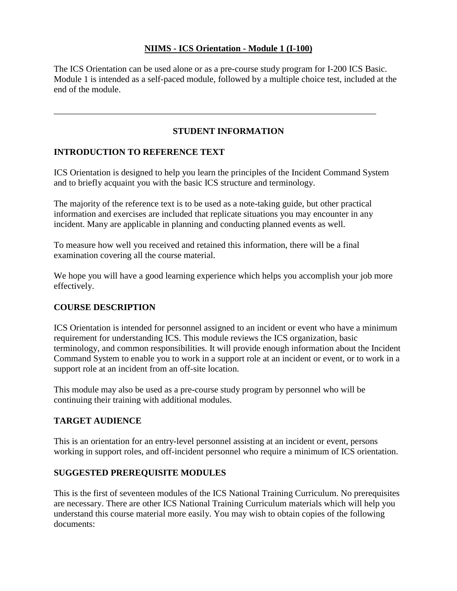### **NIIMS - ICS Orientation - Module 1 (I-100)**

The ICS Orientation can be used alone or as a pre-course study program for I-200 ICS Basic. Module 1 is intended as a self-paced module, followed by a multiple choice test, included at the end of the module.

\_\_\_\_\_\_\_\_\_\_\_\_\_\_\_\_\_\_\_\_\_\_\_\_\_\_\_\_\_\_\_\_\_\_\_\_\_\_\_\_\_\_\_\_\_\_\_\_\_\_\_\_\_\_\_\_\_\_\_\_\_\_\_\_\_\_\_\_\_\_\_\_

### **STUDENT INFORMATION**

### **INTRODUCTION TO REFERENCE TEXT**

ICS Orientation is designed to help you learn the principles of the Incident Command System and to briefly acquaint you with the basic ICS structure and terminology.

The majority of the reference text is to be used as a note-taking guide, but other practical information and exercises are included that replicate situations you may encounter in any incident. Many are applicable in planning and conducting planned events as well.

To measure how well you received and retained this information, there will be a final examination covering all the course material.

We hope you will have a good learning experience which helps you accomplish your job more effectively.

### **COURSE DESCRIPTION**

ICS Orientation is intended for personnel assigned to an incident or event who have a minimum requirement for understanding ICS. This module reviews the ICS organization, basic terminology, and common responsibilities. It will provide enough information about the Incident Command System to enable you to work in a support role at an incident or event, or to work in a support role at an incident from an off-site location.

This module may also be used as a pre-course study program by personnel who will be continuing their training with additional modules.

### **TARGET AUDIENCE**

This is an orientation for an entry-level personnel assisting at an incident or event, persons working in support roles, and off-incident personnel who require a minimum of ICS orientation.

### **SUGGESTED PREREQUISITE MODULES**

This is the first of seventeen modules of the ICS National Training Curriculum. No prerequisites are necessary. There are other ICS National Training Curriculum materials which will help you understand this course material more easily. You may wish to obtain copies of the following documents: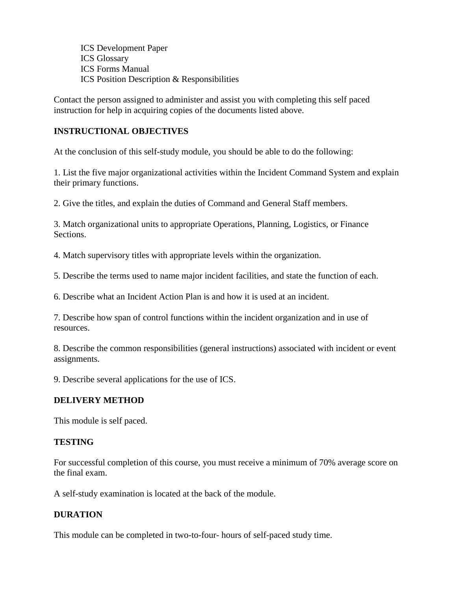ICS Development Paper ICS Glossary ICS Forms Manual ICS Position Description & Responsibilities

Contact the person assigned to administer and assist you with completing this self paced instruction for help in acquiring copies of the documents listed above.

### **INSTRUCTIONAL OBJECTIVES**

At the conclusion of this self-study module, you should be able to do the following:

1. List the five major organizational activities within the Incident Command System and explain their primary functions.

2. Give the titles, and explain the duties of Command and General Staff members.

3. Match organizational units to appropriate Operations, Planning, Logistics, or Finance Sections.

4. Match supervisory titles with appropriate levels within the organization.

5. Describe the terms used to name major incident facilities, and state the function of each.

6. Describe what an Incident Action Plan is and how it is used at an incident.

7. Describe how span of control functions within the incident organization and in use of resources.

8. Describe the common responsibilities (general instructions) associated with incident or event assignments.

9. Describe several applications for the use of ICS.

### **DELIVERY METHOD**

This module is self paced.

### **TESTING**

For successful completion of this course, you must receive a minimum of 70% average score on the final exam.

A self-study examination is located at the back of the module.

### **DURATION**

This module can be completed in two-to-four- hours of self-paced study time.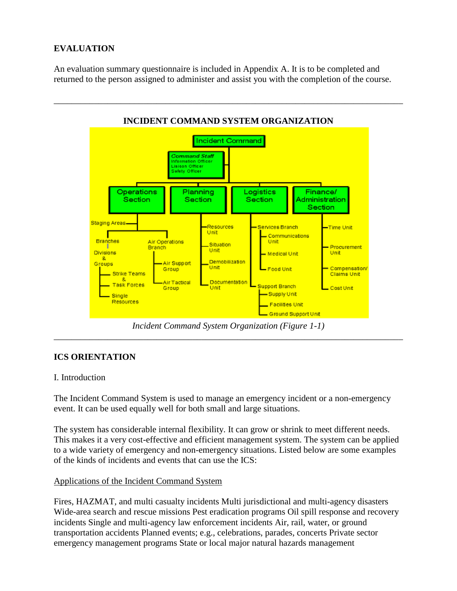### **EVALUATION**

An evaluation summary questionnaire is included in Appendix A. It is to be completed and returned to the person assigned to administer and assist you with the completion of the course.

\_\_\_\_\_\_\_\_\_\_\_\_\_\_\_\_\_\_\_\_\_\_\_\_\_\_\_\_\_\_\_\_\_\_\_\_\_\_\_\_\_\_\_\_\_\_\_\_\_\_\_\_\_\_\_\_\_\_\_\_\_\_\_\_\_\_\_\_\_\_\_\_\_\_\_\_\_\_



*Incident Command System Organization (Figure 1-1)* \_\_\_\_\_\_\_\_\_\_\_\_\_\_\_\_\_\_\_\_\_\_\_\_\_\_\_\_\_\_\_\_\_\_\_\_\_\_\_\_\_\_\_\_\_\_\_\_\_\_\_\_\_\_\_\_\_\_\_\_\_\_\_\_\_\_\_\_\_\_\_\_\_\_\_\_\_\_

### **ICS ORIENTATION**

#### I. Introduction

The Incident Command System is used to manage an emergency incident or a non-emergency event. It can be used equally well for both small and large situations.

The system has considerable internal flexibility. It can grow or shrink to meet different needs. This makes it a very cost-effective and efficient management system. The system can be applied to a wide variety of emergency and non-emergency situations. Listed below are some examples of the kinds of incidents and events that can use the ICS:

#### Applications of the Incident Command System

Fires, HAZMAT, and multi casualty incidents Multi jurisdictional and multi-agency disasters Wide-area search and rescue missions Pest eradication programs Oil spill response and recovery incidents Single and multi-agency law enforcement incidents Air, rail, water, or ground transportation accidents Planned events; e.g., celebrations, parades, concerts Private sector emergency management programs State or local major natural hazards management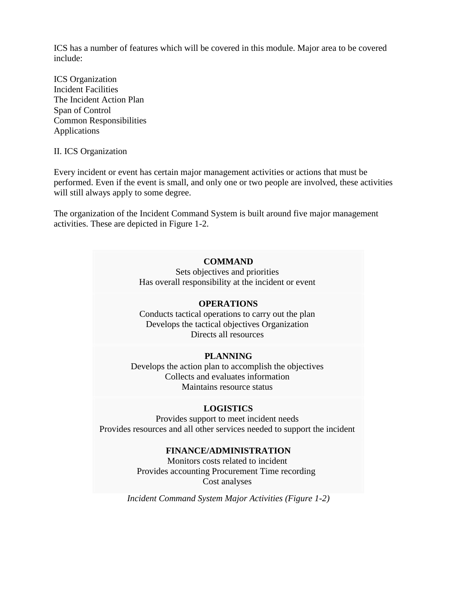ICS has a number of features which will be covered in this module. Major area to be covered include:

ICS Organization Incident Facilities The Incident Action Plan Span of Control Common Responsibilities Applications

#### II. ICS Organization

Every incident or event has certain major management activities or actions that must be performed. Even if the event is small, and only one or two people are involved, these activities will still always apply to some degree.

The organization of the Incident Command System is built around five major management activities. These are depicted in Figure 1-2.

#### **COMMAND**

Sets objectives and priorities Has overall responsibility at the incident or event

#### **OPERATIONS**

Conducts tactical operations to carry out the plan Develops the tactical objectives Organization Directs all resources

#### **PLANNING**

Develops the action plan to accomplish the objectives Collects and evaluates information Maintains resource status

#### **LOGISTICS**

Provides support to meet incident needs Provides resources and all other services needed to support the incident

#### **FINANCE/ADMINISTRATION**

Monitors costs related to incident Provides accounting Procurement Time recording Cost analyses

*Incident Command System Major Activities (Figure 1-2)*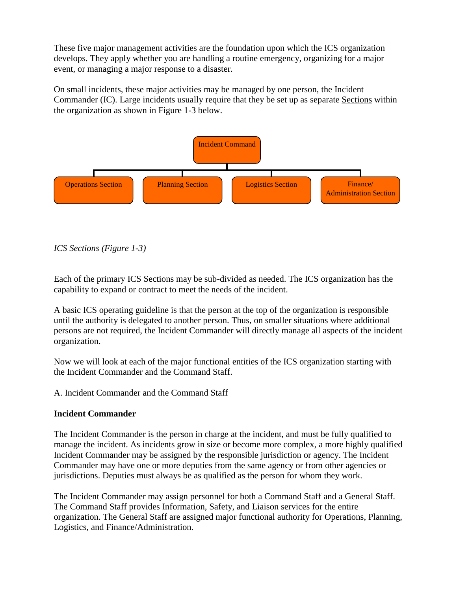These five major management activities are the foundation upon which the ICS organization develops. They apply whether you are handling a routine emergency, organizing for a major event, or managing a major response to a disaster.

On small incidents, these major activities may be managed by one person, the Incident Commander (IC). Large incidents usually require that they be set up as separate Sections within the organization as shown in Figure 1-3 below.



*ICS Sections (Figure 1-3)*

Each of the primary ICS Sections may be sub-divided as needed. The ICS organization has the capability to expand or contract to meet the needs of the incident.

A basic ICS operating guideline is that the person at the top of the organization is responsible until the authority is delegated to another person. Thus, on smaller situations where additional persons are not required, the Incident Commander will directly manage all aspects of the incident organization.

Now we will look at each of the major functional entities of the ICS organization starting with the Incident Commander and the Command Staff.

A. Incident Commander and the Command Staff

### **Incident Commander**

The Incident Commander is the person in charge at the incident, and must be fully qualified to manage the incident. As incidents grow in size or become more complex, a more highly qualified Incident Commander may be assigned by the responsible jurisdiction or agency. The Incident Commander may have one or more deputies from the same agency or from other agencies or jurisdictions. Deputies must always be as qualified as the person for whom they work.

The Incident Commander may assign personnel for both a Command Staff and a General Staff. The Command Staff provides Information, Safety, and Liaison services for the entire organization. The General Staff are assigned major functional authority for Operations, Planning, Logistics, and Finance/Administration.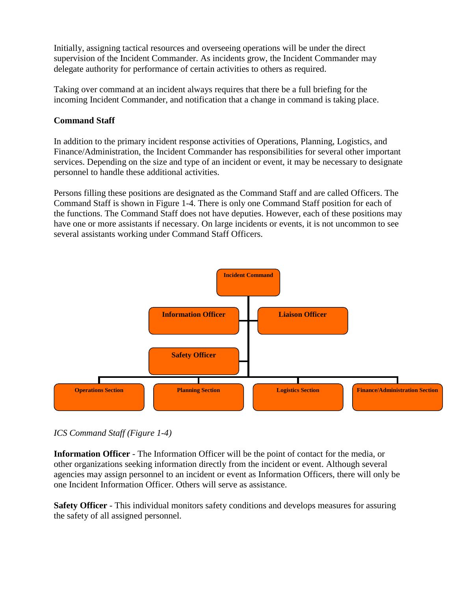Initially, assigning tactical resources and overseeing operations will be under the direct supervision of the Incident Commander. As incidents grow, the Incident Commander may delegate authority for performance of certain activities to others as required.

Taking over command at an incident always requires that there be a full briefing for the incoming Incident Commander, and notification that a change in command is taking place.

### **Command Staff**

In addition to the primary incident response activities of Operations, Planning, Logistics, and Finance/Administration, the Incident Commander has responsibilities for several other important services. Depending on the size and type of an incident or event, it may be necessary to designate personnel to handle these additional activities.

Persons filling these positions are designated as the Command Staff and are called Officers. The Command Staff is shown in Figure 1-4. There is only one Command Staff position for each of the functions. The Command Staff does not have deputies. However, each of these positions may have one or more assistants if necessary. On large incidents or events, it is not uncommon to see several assistants working under Command Staff Officers.



### *ICS Command Staff (Figure 1-4)*

**Information Officer** - The Information Officer will be the point of contact for the media, or other organizations seeking information directly from the incident or event. Although several agencies may assign personnel to an incident or event as Information Officers, there will only be one Incident Information Officer. Others will serve as assistance.

**Safety Officer** - This individual monitors safety conditions and develops measures for assuring the safety of all assigned personnel.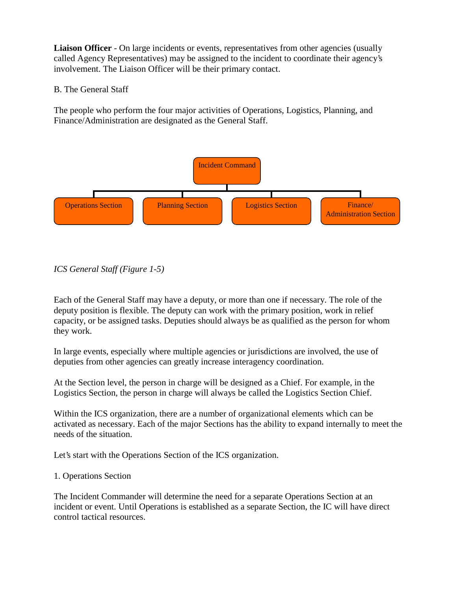**Liaison Officer** - On large incidents or events, representatives from other agencies (usually called Agency Representatives) may be assigned to the incident to coordinate their agency's involvement. The Liaison Officer will be their primary contact.

### B. The General Staff

The people who perform the four major activities of Operations, Logistics, Planning, and Finance/Administration are designated as the General Staff.



### *ICS General Staff (Figure 1-5)*

Each of the General Staff may have a deputy, or more than one if necessary. The role of the deputy position is flexible. The deputy can work with the primary position, work in relief capacity, or be assigned tasks. Deputies should always be as qualified as the person for whom they work.

In large events, especially where multiple agencies or jurisdictions are involved, the use of deputies from other agencies can greatly increase interagency coordination.

At the Section level, the person in charge will be designed as a Chief. For example, in the Logistics Section, the person in charge will always be called the Logistics Section Chief.

Within the ICS organization, there are a number of organizational elements which can be activated as necessary. Each of the major Sections has the ability to expand internally to meet the needs of the situation.

Let's start with the Operations Section of the ICS organization.

#### 1. Operations Section

The Incident Commander will determine the need for a separate Operations Section at an incident or event. Until Operations is established as a separate Section, the IC will have direct control tactical resources.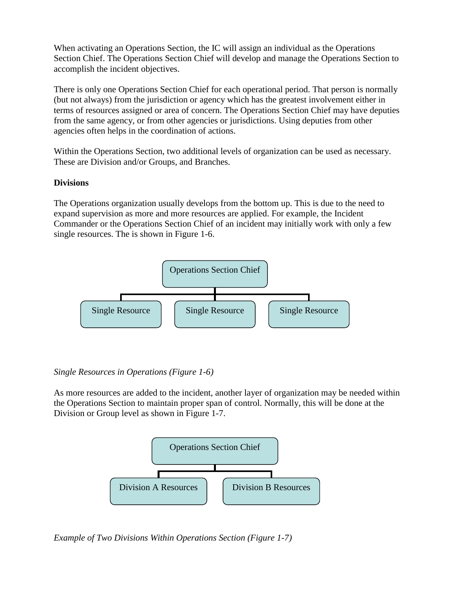When activating an Operations Section, the IC will assign an individual as the Operations Section Chief. The Operations Section Chief will develop and manage the Operations Section to accomplish the incident objectives.

There is only one Operations Section Chief for each operational period. That person is normally (but not always) from the jurisdiction or agency which has the greatest involvement either in terms of resources assigned or area of concern. The Operations Section Chief may have deputies from the same agency, or from other agencies or jurisdictions. Using deputies from other agencies often helps in the coordination of actions.

Within the Operations Section, two additional levels of organization can be used as necessary. These are Division and/or Groups, and Branches.

### **Divisions**

The Operations organization usually develops from the bottom up. This is due to the need to expand supervision as more and more resources are applied. For example, the Incident Commander or the Operations Section Chief of an incident may initially work with only a few single resources. The is shown in Figure 1-6.



### *Single Resources in Operations (Figure 1-6)*

As more resources are added to the incident, another layer of organization may be needed within the Operations Section to maintain proper span of control. Normally, this will be done at the Division or Group level as shown in Figure 1-7.



*Example of Two Divisions Within Operations Section (Figure 1-7)*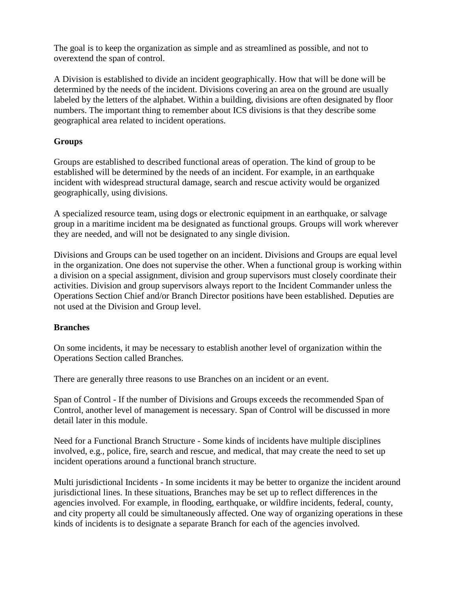The goal is to keep the organization as simple and as streamlined as possible, and not to overextend the span of control.

A Division is established to divide an incident geographically. How that will be done will be determined by the needs of the incident. Divisions covering an area on the ground are usually labeled by the letters of the alphabet. Within a building, divisions are often designated by floor numbers. The important thing to remember about ICS divisions is that they describe some geographical area related to incident operations.

### **Groups**

Groups are established to described functional areas of operation. The kind of group to be established will be determined by the needs of an incident. For example, in an earthquake incident with widespread structural damage, search and rescue activity would be organized geographically, using divisions.

A specialized resource team, using dogs or electronic equipment in an earthquake, or salvage group in a maritime incident ma be designated as functional groups. Groups will work wherever they are needed, and will not be designated to any single division.

Divisions and Groups can be used together on an incident. Divisions and Groups are equal level in the organization. One does not supervise the other. When a functional group is working within a division on a special assignment, division and group supervisors must closely coordinate their activities. Division and group supervisors always report to the Incident Commander unless the Operations Section Chief and/or Branch Director positions have been established. Deputies are not used at the Division and Group level.

### **Branches**

On some incidents, it may be necessary to establish another level of organization within the Operations Section called Branches.

There are generally three reasons to use Branches on an incident or an event.

Span of Control - If the number of Divisions and Groups exceeds the recommended Span of Control, another level of management is necessary. Span of Control will be discussed in more detail later in this module.

Need for a Functional Branch Structure - Some kinds of incidents have multiple disciplines involved, e.g., police, fire, search and rescue, and medical, that may create the need to set up incident operations around a functional branch structure.

Multi jurisdictional Incidents - In some incidents it may be better to organize the incident around jurisdictional lines. In these situations, Branches may be set up to reflect differences in the agencies involved. For example, in flooding, earthquake, or wildfire incidents, federal, county, and city property all could be simultaneously affected. One way of organizing operations in these kinds of incidents is to designate a separate Branch for each of the agencies involved.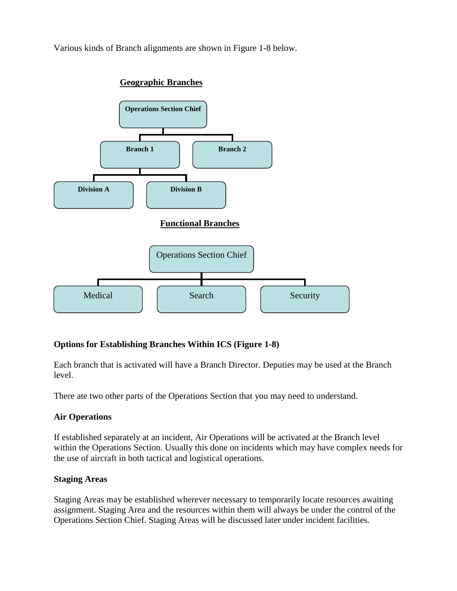Various kinds of Branch alignments are shown in Figure 1-8 below.



### **Options for Establishing Branches Within ICS (Figure 1-8)**

Each branch that is activated will have a Branch Director. Deputies may be used at the Branch level.

There ate two other parts of the Operations Section that you may need to understand.

### **Air Operations**

If established separately at an incident, Air Operations will be activated at the Branch level within the Operations Section. Usually this done on incidents which may have complex needs for the use of aircraft in both tactical and logistical operations.

### **Staging Areas**

Staging Areas may be established wherever necessary to temporarily locate resources awaiting assignment. Staging Area and the resources within them will always be under the control of the Operations Section Chief. Staging Areas will be discussed later under incident facilities.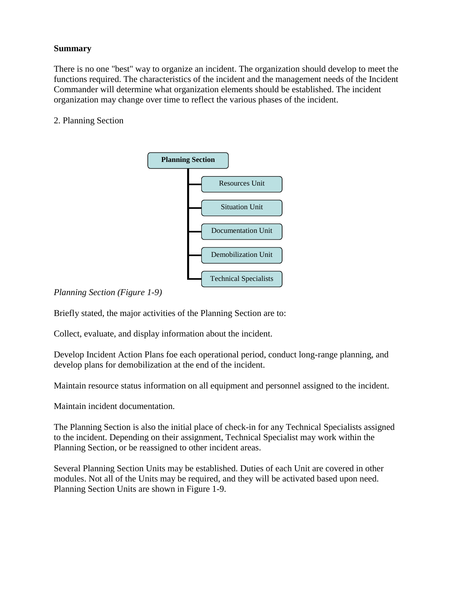#### **Summary**

There is no one "best" way to organize an incident. The organization should develop to meet the functions required. The characteristics of the incident and the management needs of the Incident Commander will determine what organization elements should be established. The incident organization may change over time to reflect the various phases of the incident.

2. Planning Section



*Planning Section (Figure 1-9)*

Briefly stated, the major activities of the Planning Section are to:

Collect, evaluate, and display information about the incident.

Develop Incident Action Plans foe each operational period, conduct long-range planning, and develop plans for demobilization at the end of the incident.

Maintain resource status information on all equipment and personnel assigned to the incident.

Maintain incident documentation.

The Planning Section is also the initial place of check-in for any Technical Specialists assigned to the incident. Depending on their assignment, Technical Specialist may work within the Planning Section, or be reassigned to other incident areas.

Several Planning Section Units may be established. Duties of each Unit are covered in other modules. Not all of the Units may be required, and they will be activated based upon need. Planning Section Units are shown in Figure 1-9.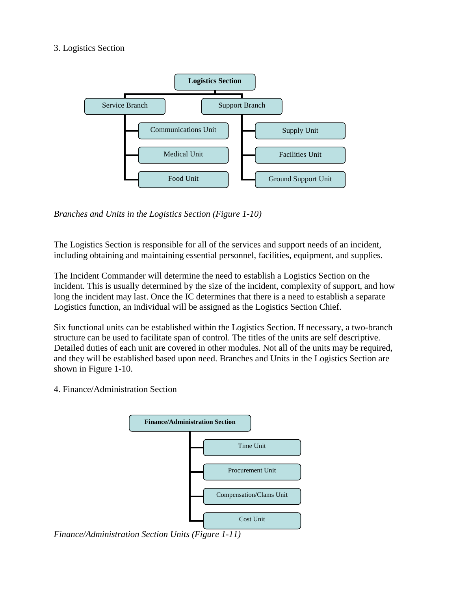### 3. Logistics Section



*Branches and Units in the Logistics Section (Figure 1-10)*

The Logistics Section is responsible for all of the services and support needs of an incident, including obtaining and maintaining essential personnel, facilities, equipment, and supplies.

The Incident Commander will determine the need to establish a Logistics Section on the incident. This is usually determined by the size of the incident, complexity of support, and how long the incident may last. Once the IC determines that there is a need to establish a separate Logistics function, an individual will be assigned as the Logistics Section Chief.

Six functional units can be established within the Logistics Section. If necessary, a two-branch structure can be used to facilitate span of control. The titles of the units are self descriptive. Detailed duties of each unit are covered in other modules. Not all of the units may be required, and they will be established based upon need. Branches and Units in the Logistics Section are shown in Figure 1-10.

4. Finance/Administration Section



*Finance/Administration Section Units (Figure 1-11)*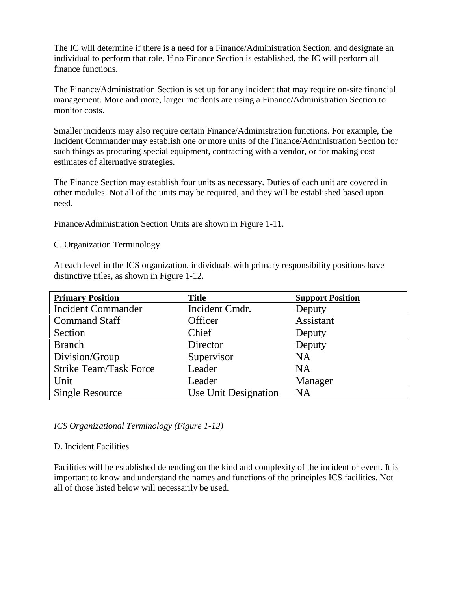The IC will determine if there is a need for a Finance/Administration Section, and designate an individual to perform that role. If no Finance Section is established, the IC will perform all finance functions.

The Finance/Administration Section is set up for any incident that may require on-site financial management. More and more, larger incidents are using a Finance/Administration Section to monitor costs.

Smaller incidents may also require certain Finance/Administration functions. For example, the Incident Commander may establish one or more units of the Finance/Administration Section for such things as procuring special equipment, contracting with a vendor, or for making cost estimates of alternative strategies.

The Finance Section may establish four units as necessary. Duties of each unit are covered in other modules. Not all of the units may be required, and they will be established based upon need.

Finance/Administration Section Units are shown in Figure 1-11.

C. Organization Terminology

At each level in the ICS organization, individuals with primary responsibility positions have distinctive titles, as shown in Figure 1-12.

| <b>Primary Position</b>       | <b>Title</b>         | <b>Support Position</b> |
|-------------------------------|----------------------|-------------------------|
| <b>Incident Commander</b>     | Incident Cmdr.       | Deputy                  |
| <b>Command Staff</b>          | Officer              | Assistant               |
| Section                       | Chief                | Deputy                  |
| <b>Branch</b>                 | Director             | Deputy                  |
| Division/Group                | Supervisor           | <b>NA</b>               |
| <b>Strike Team/Task Force</b> | Leader               | <b>NA</b>               |
| Unit                          | Leader               | Manager                 |
| <b>Single Resource</b>        | Use Unit Designation | <b>NA</b>               |

*ICS Organizational Terminology (Figure 1-12)*

#### D. Incident Facilities

Facilities will be established depending on the kind and complexity of the incident or event. It is important to know and understand the names and functions of the principles ICS facilities. Not all of those listed below will necessarily be used.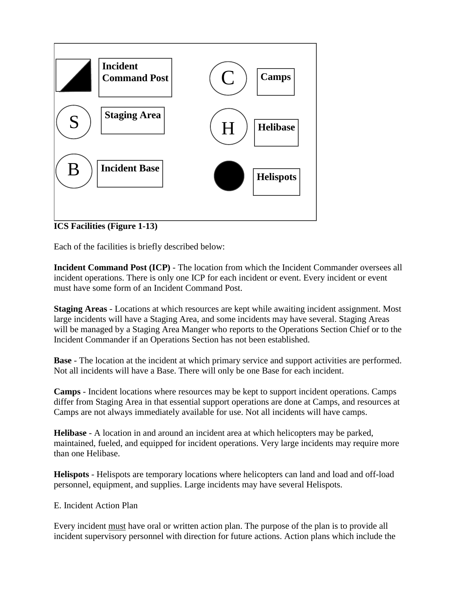

**ICS Facilities (Figure 1-13)**

Each of the facilities is briefly described below:

**Incident Command Post (ICP)** - The location from which the Incident Commander oversees all incident operations. There is only one ICP for each incident or event. Every incident or event must have some form of an Incident Command Post.

**Staging Areas** - Locations at which resources are kept while awaiting incident assignment. Most large incidents will have a Staging Area, and some incidents may have several. Staging Areas will be managed by a Staging Area Manger who reports to the Operations Section Chief or to the Incident Commander if an Operations Section has not been established.

**Base** - The location at the incident at which primary service and support activities are performed. Not all incidents will have a Base. There will only be one Base for each incident.

**Camps** - Incident locations where resources may be kept to support incident operations. Camps differ from Staging Area in that essential support operations are done at Camps, and resources at Camps are not always immediately available for use. Not all incidents will have camps.

**Helibase** - A location in and around an incident area at which helicopters may be parked, maintained, fueled, and equipped for incident operations. Very large incidents may require more than one Helibase.

**Helispots** - Helispots are temporary locations where helicopters can land and load and off-load personnel, equipment, and supplies. Large incidents may have several Helispots.

#### E. Incident Action Plan

Every incident must have oral or written action plan. The purpose of the plan is to provide all incident supervisory personnel with direction for future actions. Action plans which include the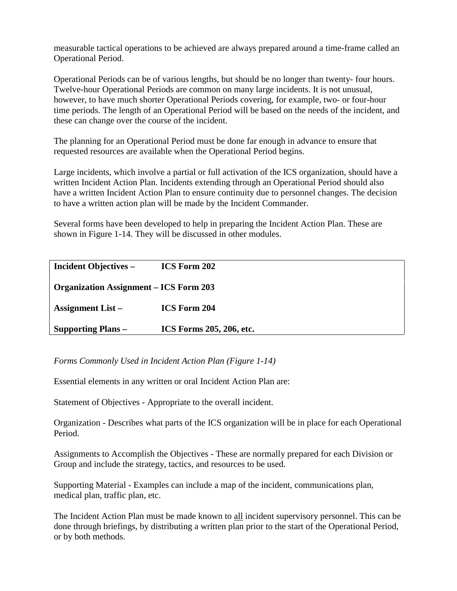measurable tactical operations to be achieved are always prepared around a time-frame called an Operational Period.

Operational Periods can be of various lengths, but should be no longer than twenty- four hours. Twelve-hour Operational Periods are common on many large incidents. It is not unusual, however, to have much shorter Operational Periods covering, for example, two- or four-hour time periods. The length of an Operational Period will be based on the needs of the incident, and these can change over the course of the incident.

The planning for an Operational Period must be done far enough in advance to ensure that requested resources are available when the Operational Period begins.

Large incidents, which involve a partial or full activation of the ICS organization, should have a written Incident Action Plan. Incidents extending through an Operational Period should also have a written Incident Action Plan to ensure continuity due to personnel changes. The decision to have a written action plan will be made by the Incident Commander.

Several forms have been developed to help in preparing the Incident Action Plan. These are shown in Figure 1-14. They will be discussed in other modules.

| <b>Incident Objectives –</b>                  | ICS Form 202             |  |
|-----------------------------------------------|--------------------------|--|
| <b>Organization Assignment – ICS Form 203</b> |                          |  |
| Assignment List $-$                           | <b>ICS Form 204</b>      |  |
| <b>Supporting Plans</b> –                     | ICS Forms 205, 206, etc. |  |

*Forms Commonly Used in Incident Action Plan (Figure 1-14)*

Essential elements in any written or oral Incident Action Plan are:

Statement of Objectives - Appropriate to the overall incident.

Organization - Describes what parts of the ICS organization will be in place for each Operational Period.

Assignments to Accomplish the Objectives - These are normally prepared for each Division or Group and include the strategy, tactics, and resources to be used.

Supporting Material - Examples can include a map of the incident, communications plan, medical plan, traffic plan, etc.

The Incident Action Plan must be made known to all incident supervisory personnel. This can be done through briefings, by distributing a written plan prior to the start of the Operational Period, or by both methods.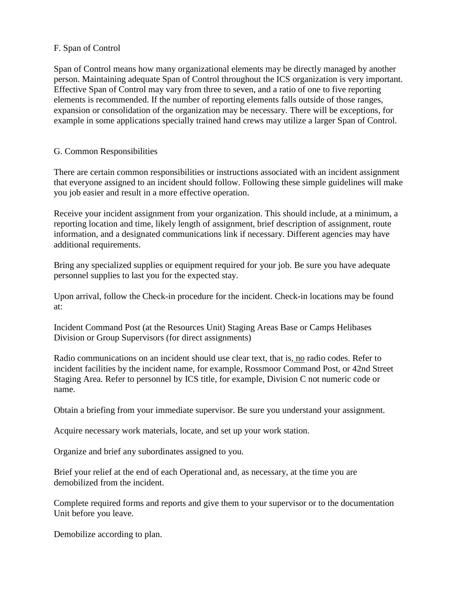### F. Span of Control

Span of Control means how many organizational elements may be directly managed by another person. Maintaining adequate Span of Control throughout the ICS organization is very important. Effective Span of Control may vary from three to seven, and a ratio of one to five reporting elements is recommended. If the number of reporting elements falls outside of those ranges, expansion or consolidation of the organization may be necessary. There will be exceptions, for example in some applications specially trained hand crews may utilize a larger Span of Control.

### G. Common Responsibilities

There are certain common responsibilities or instructions associated with an incident assignment that everyone assigned to an incident should follow. Following these simple guidelines will make you job easier and result in a more effective operation.

Receive your incident assignment from your organization. This should include, at a minimum, a reporting location and time, likely length of assignment, brief description of assignment, route information, and a designated communications link if necessary. Different agencies may have additional requirements.

Bring any specialized supplies or equipment required for your job. Be sure you have adequate personnel supplies to last you for the expected stay.

Upon arrival, follow the Check-in procedure for the incident. Check-in locations may be found at:

Incident Command Post (at the Resources Unit) Staging Areas Base or Camps Helibases Division or Group Supervisors (for direct assignments)

Radio communications on an incident should use clear text, that is, no radio codes. Refer to incident facilities by the incident name, for example, Rossmoor Command Post, or 42nd Street Staging Area. Refer to personnel by ICS title, for example, Division C not numeric code or name.

Obtain a briefing from your immediate supervisor. Be sure you understand your assignment.

Acquire necessary work materials, locate, and set up your work station.

Organize and brief any subordinates assigned to you.

Brief your relief at the end of each Operational and, as necessary, at the time you are demobilized from the incident.

Complete required forms and reports and give them to your supervisor or to the documentation Unit before you leave.

Demobilize according to plan.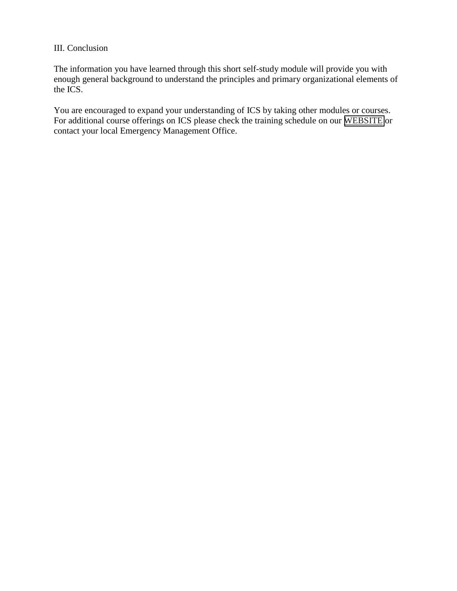### III. Conclusion

The information you have learned through this short self-study module will provide you with enough general background to understand the principles and primary organizational elements of the ICS.

You are encouraged to expand your understanding of ICS by taking other modules or courses. For additional course offerings on ICS please check the training schedule on our [WEBSITE](http://www.nysemo.state.ny.us/TrainingHome.htm) or contact your local Emergency Management Office.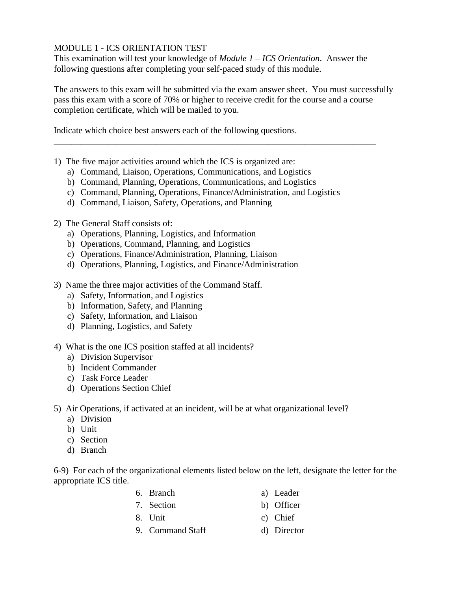### MODULE 1 - ICS ORIENTATION TEST

This examination will test your knowledge of *Module 1 – ICS Orientation*. Answer the following questions after completing your self-paced study of this module.

The answers to this exam will be submitted via the exam answer sheet. You must successfully pass this exam with a score of 70% or higher to receive credit for the course and a course completion certificate, which will be mailed to you.

\_\_\_\_\_\_\_\_\_\_\_\_\_\_\_\_\_\_\_\_\_\_\_\_\_\_\_\_\_\_\_\_\_\_\_\_\_\_\_\_\_\_\_\_\_\_\_\_\_\_\_\_\_\_\_\_\_\_\_\_\_\_\_\_\_\_\_\_\_\_\_\_

Indicate which choice best answers each of the following questions.

- 1) The five major activities around which the ICS is organized are:
	- a) Command, Liaison, Operations, Communications, and Logistics
	- b) Command, Planning, Operations, Communications, and Logistics
	- c) Command, Planning, Operations, Finance/Administration, and Logistics
	- d) Command, Liaison, Safety, Operations, and Planning
- 2) The General Staff consists of:
	- a) Operations, Planning, Logistics, and Information
	- b) Operations, Command, Planning, and Logistics
	- c) Operations, Finance/Administration, Planning, Liaison
	- d) Operations, Planning, Logistics, and Finance/Administration
- 3) Name the three major activities of the Command Staff.
	- a) Safety, Information, and Logistics
	- b) Information, Safety, and Planning
	- c) Safety, Information, and Liaison
	- d) Planning, Logistics, and Safety
- 4) What is the one ICS position staffed at all incidents?
	- a) Division Supervisor
	- b) Incident Commander
	- c) Task Force Leader
	- d) Operations Section Chief
- 5) Air Operations, if activated at an incident, will be at what organizational level?
	- a) Division
	- b) Unit
	- c) Section
	- d) Branch

6-9) For each of the organizational elements listed below on the left, designate the letter for the appropriate ICS title.

- 6. Branch a) Leader
- 7. Section b) Officer
- 8. Unit c) Chief
- 9. Command Staff d) Director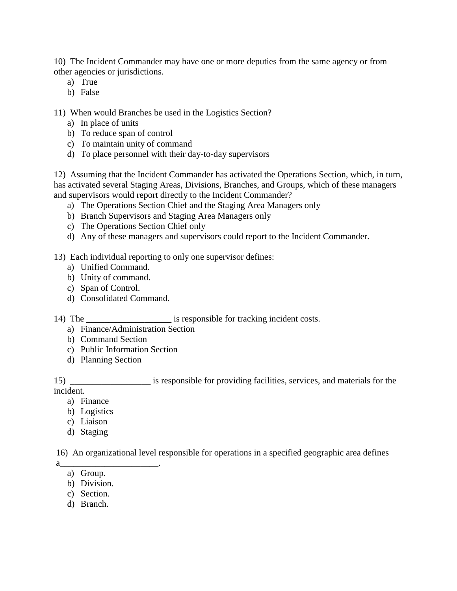10) The Incident Commander may have one or more deputies from the same agency or from other agencies or jurisdictions.

- a) True
- b) False

11) When would Branches be used in the Logistics Section?

- a) In place of units
- b) To reduce span of control
- c) To maintain unity of command
- d) To place personnel with their day-to-day supervisors

12) Assuming that the Incident Commander has activated the Operations Section, which, in turn, has activated several Staging Areas, Divisions, Branches, and Groups, which of these managers and supervisors would report directly to the Incident Commander?

- a) The Operations Section Chief and the Staging Area Managers only
- b) Branch Supervisors and Staging Area Managers only
- c) The Operations Section Chief only
- d) Any of these managers and supervisors could report to the Incident Commander.

13) Each individual reporting to only one supervisor defines:

- a) Unified Command.
- b) Unity of command.
- c) Span of Control.
- d) Consolidated Command.

- 14) The \_\_\_\_\_\_\_\_\_\_\_\_\_\_\_\_\_\_\_\_\_\_ is responsible for tracking incident costs.
	- a) Finance/Administration Section
	- b) Command Section
	- c) Public Information Section
	- d) Planning Section

15) \_\_\_\_\_\_\_\_\_\_\_\_\_\_\_\_\_\_ is responsible for providing facilities, services, and materials for the incident.

- a) Finance
- b) Logistics
- c) Liaison
- d) Staging

16) An organizational level responsible for operations in a specified geographic area defines  $a$ 

- a) Group.
- b) Division.
- c) Section.
- d) Branch.